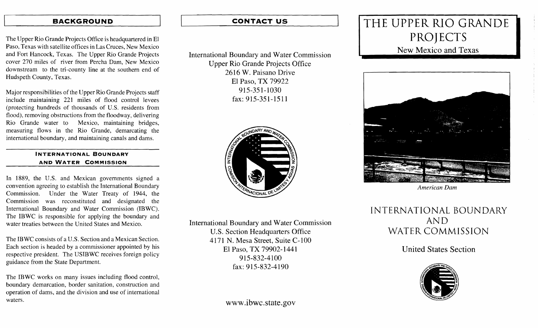### **BACKGROUND**

The Upper Rio Grande Projects Office is headquartered in El Paso, Texas with satellite offices in Las Cruces, New Mexico and Fort Hancock, Texas. The Upper Rio Grande Projects cover 270 miles of river from Percha Dam, New Mexico downstream to the tri-county line at the southern end of Hudspeth County, Texas.

Major responsibilities of the Upper Rio Grande Projects staff include maintaining 221 miles of flood control levees (protecting hundreds of thousands of U.S. residents from flood), removing obstructions from the floodway, delivering Rio Grande water to Mexico, maintaining bridges, measuring flows in the Rio Grande, demarcating the international boundary, and maintaining canals and dams.

#### INTERNATIONAL BOUNDARY AND WATER COMMISSION

In 1889, the U.S. and Mexican governments signed a convention agreeing to establish the International Boundary Commission. Under the Water Treaty of 1944, the Commission was reconstituted and designated the International Boundary and Water Commission (IBWC). The IBWC is responsible for applying the boundary and water treaties between the United States and Mexico.

The IB WC consists of a U.S. Section and a Mexican Section. Each section is headed by a commissioner appointed by his respective president. The USIBWC receives foreign policy guidance from the State Department.

The IBWC works on many issues including flood control, boundary demarcation, border sanitation, construction and operation of dams, and the division and use of international waters.

## **CONTACT US**

International Boundary and Water Commission Upper Rio Grande Projects Office 2616 W. Paisano Drive El Paso, TX 79922 915-351-1030 fax: 915-351-1511



International Boundary and Water Commission U.S. Section Headquarters Office 4171 N. Mesa Street, Suite C-100 El Paso, TX 79902-1441 915-832-4100 fax: 915-832-4190

## www .ibwc.state.gov

# THE UPPER RIO GRANDE PROJECTS

# New Mexico and Texas



*American Dam* 

INTERNATIONAL BOUNDARY AND WATER COMMISSION

United States Section